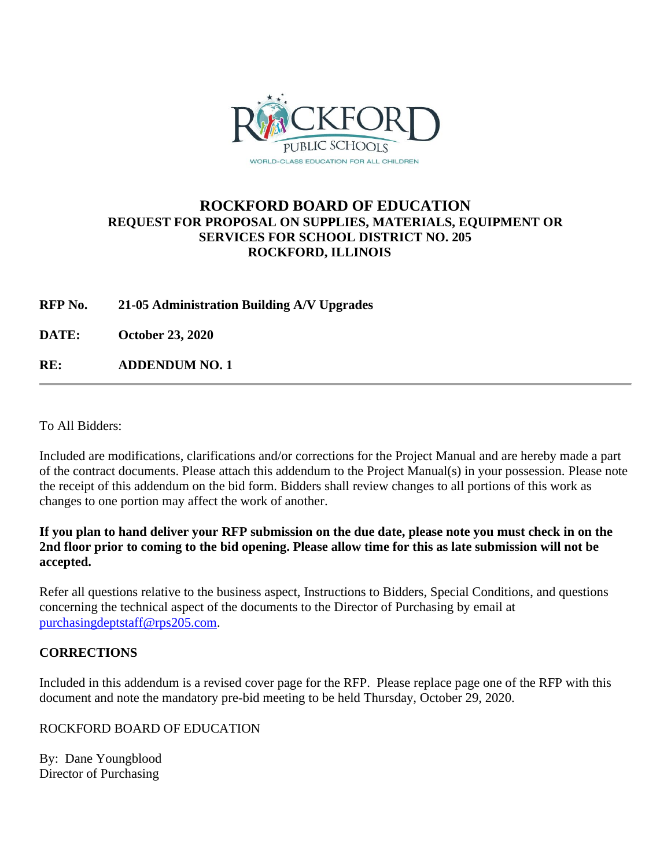

# **ROCKFORD BOARD OF EDUCATION REQUEST FOR PROPOSAL ON SUPPLIES, MATERIALS, EQUIPMENT OR SERVICES FOR SCHOOL DISTRICT NO. 205 ROCKFORD, ILLINOIS**

**RFP No. 21-05 Administration Building A/V Upgrades**

**DATE: October 23, 2020**

**RE: ADDENDUM NO. 1**

To All Bidders:

Included are modifications, clarifications and/or corrections for the Project Manual and are hereby made a part of the contract documents. Please attach this addendum to the Project Manual(s) in your possession. Please note the receipt of this addendum on the bid form. Bidders shall review changes to all portions of this work as changes to one portion may affect the work of another.

### **If you plan to hand deliver your RFP submission on the due date, please note you must check in on the 2nd floor prior to coming to the bid opening. Please allow time for this as late submission will not be accepted.**

Refer all questions relative to the business aspect, Instructions to Bidders, Special Conditions, and questions concerning the technical aspect of the documents to the Director of Purchasing by email at [purchasingdeptstaff@rps205.com.](mailto:purchasingdeptstaff@rps205.com)

## **CORRECTIONS**

Included in this addendum is a revised cover page for the RFP. Please replace page one of the RFP with this document and note the mandatory pre-bid meeting to be held Thursday, October 29, 2020.

## ROCKFORD BOARD OF EDUCATION

By: Dane Youngblood Director of Purchasing